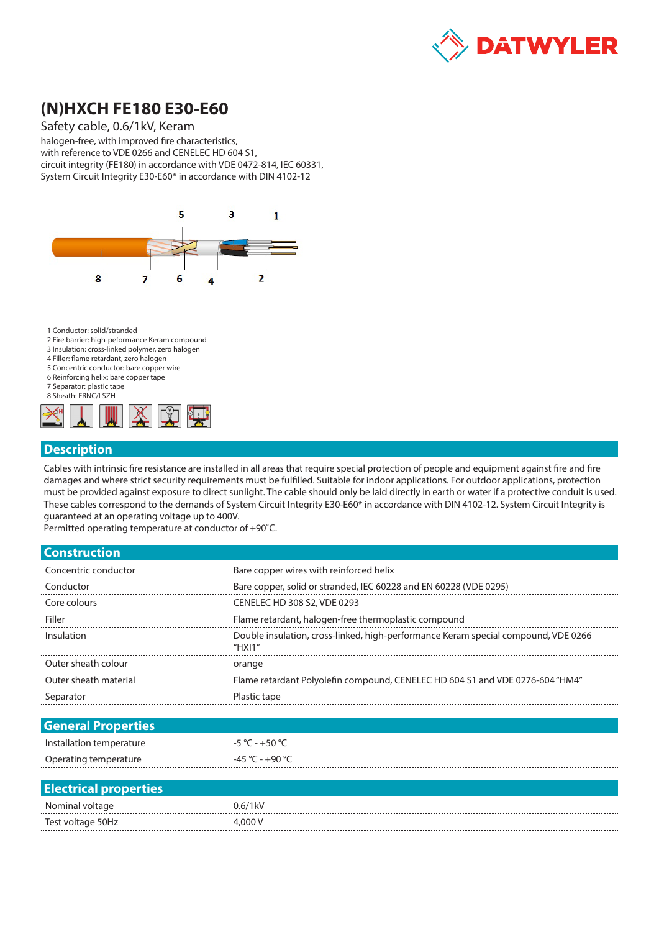

# **(N)HXCH FE180 E30-E60**

#### Safety cable, 0.6/1kV, Keram

halogen-free, with improved fire characteristics, with reference to VDE 0266 and CENELEC HD 604 S1, circuit integrity (FE180) in accordance with VDE 0472-814, IEC 60331, System Circuit Integrity E30-E60\* in accordance with DIN 4102-12



1 Conductor: solid/stranded

- 2 Fire barrier: high-peformance Keram compound
- 3 Insulation: cross-linked polymer, zero halogen
- 4 Filler: flame retardant, zero halogen 5 Concentric conductor: bare copper wire
- 
- 6 Reinforcing helix: bare copper tape 7 Separator: plastic tape
- 8 Sheath: FRNC/LSZH



#### **Description**

Cables with intrinsic fire resistance are installed in all areas that require special protection of people and equipment against fire and fire damages and where strict security requirements must be fulfilled. Suitable for indoor applications. For outdoor applications, protection must be provided against exposure to direct sunlight. The cable should only be laid directly in earth or water if a protective conduit is used. These cables correspond to the demands of System Circuit Integrity E30-E60\* in accordance with DIN 4102-12. System Circuit Integrity is guaranteed at an operating voltage up to 400V.

Permitted operating temperature at conductor of +90˚C.

| Bare copper wires with reinforced helix                                                      |
|----------------------------------------------------------------------------------------------|
| Bare copper, solid or stranded, IEC 60228 and EN 60228 (VDE 0295)                            |
| CENELEC HD 308 S2, VDE 0293                                                                  |
| Flame retardant, halogen-free thermoplastic compound                                         |
| Double insulation, cross-linked, high-performance Keram special compound, VDE 0266<br>"HXI1" |
| orange                                                                                       |
| Flame retardant Polyolefin compound, CENELEC HD 604 S1 and VDE 0276-604 "HM4"                |
| Plastic tape                                                                                 |
|                                                                                              |
|                                                                                              |
| $-5$ °C - $+50$ °C                                                                           |
| $-45 °C - +90 °C$                                                                            |
|                                                                                              |
|                                                                                              |
| $0.6/1$ <sub>k</sub> V                                                                       |
| 4,000 V                                                                                      |
|                                                                                              |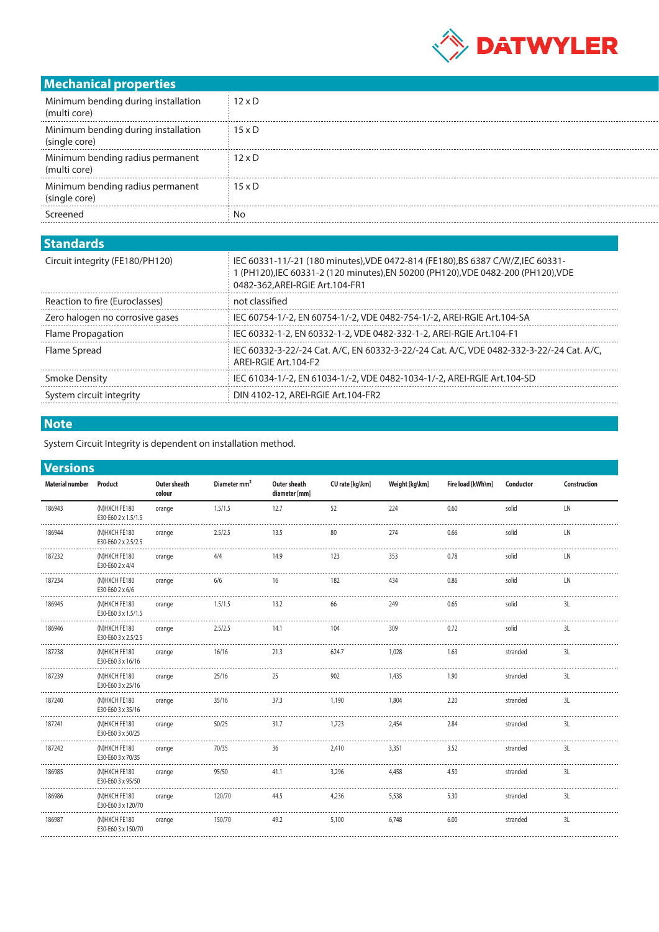

## **Mechanical properties**

| Minimum bending during installation<br>(multi core)  | $12 \times D$ |
|------------------------------------------------------|---------------|
| Minimum bending during installation<br>(single core) | $15 \times D$ |
| Minimum bending radius permanent<br>(multi core)     | $12 \times D$ |
| Minimum bending radius permanent<br>(single core)    | $15 \times D$ |
| Screened                                             | N٥            |

### **Standards**

| 9WHYMI WY                       |                                                                                                                                                                                                      |
|---------------------------------|------------------------------------------------------------------------------------------------------------------------------------------------------------------------------------------------------|
| Circuit integrity (FE180/PH120) | IEC 60331-11/-21 (180 minutes). VDE 0472-814 (FE180). BS 6387 C/W/Z. IEC 60331-<br>(PH120), IEC 60331-2 (120 minutes), EN 50200 (PH120), VDE 0482-200 (PH120), VDE<br>0482-362.AREI-RGIE Art.104-FR1 |
| Reaction to fire (Euroclasses)  | not classified                                                                                                                                                                                       |
| Zero halogen no corrosive gases | IEC 60754-1/-2, EN 60754-1/-2, VDE 0482-754-1/-2, AREI-RGIE Art.104-SA                                                                                                                               |
| Flame Propagation               | IEC 60332-1-2, EN 60332-1-2, VDE 0482-332-1-2, AREI-RGIE Art.104-F1                                                                                                                                  |
| Flame Spread                    | IEC 60332-3-22/-24 Cat. A/C. EN 60332-3-22/-24 Cat. A/C. VDE 0482-332-3-22/-24 Cat. A/C.<br>ARFI-RGIF Art 104-F2                                                                                     |
| Smoke Density                   | IEC 61034-1/-2, EN 61034-1/-2, VDE 0482-1034-1/-2, AREI-RGIE Art.104-SD                                                                                                                              |
| System circuit integrity        | DIN 4102-12, AREI-RGIE Art.104-FR2                                                                                                                                                                   |
|                                 |                                                                                                                                                                                                      |

## **Note**

System Circuit Integrity is dependent on installation method.

|  |  | <b>Versions</b> |
|--|--|-----------------|
|  |  |                 |

| <b>Material number</b> | Product                              | Outer sheath<br>colour | Diameter mm <sup>2</sup> | Outer sheath<br>diameter [mm] | CU rate [kg\km] | Weight [kg\km] | Fire load [kWh\m] | Conductor | Construction |
|------------------------|--------------------------------------|------------------------|--------------------------|-------------------------------|-----------------|----------------|-------------------|-----------|--------------|
| 186943                 | (N)HXCH FE180<br>E30-E60 2 x 1.5/1.5 | orange                 | 1.5/1.5                  | 12.7                          | 52              | 224            | 0.60              | solid     | LN           |
| 186944                 | (N)HXCH FE180<br>E30-E60 2 x 2.5/2.5 | orange                 | 2.5/2.5                  | 13.5                          | 80              | 274            | 0.66              | solid     | LN           |
| 187232                 | (N)HXCH FE180<br>E30-E60 2 x 4/4     | orange                 | 4/4                      | 14.9                          | 123             | 353            | 0.78              | solid     | LN           |
| 187234                 | (N)HXCH FE180<br>E30-E60 2 x 6/6     | orange                 | 6/6                      | 16                            | 182             | 434            | 0.86              | solid     | LN           |
| 186945                 | (N)HXCH FE180<br>E30-E60 3 x 1.5/1.5 | orange                 | 1.5/1.5                  | 13.2                          | 66              | 249            | 0.65              | solid     | 3L           |
| 186946                 | (N)HXCH FE180<br>E30-E60 3 x 2.5/2.5 | orange                 | 2.5/2.5                  | 14.1                          | 104             | 309            | 0.72              | solid     | 3L           |
| 187238                 | (N)HXCH FE180<br>E30-E60 3 x 16/16   | orange                 | 16/16                    | 21.3                          | 624.7           | 1,028          | 1.63              | stranded  | 3L           |
| 187239                 | (N)HXCH FE180<br>E30-E60 3 x 25/16   | orange                 | 25/16                    | 25                            | 902             | 1,435          | 1.90              | stranded  | 3L           |
| 187240                 | (N)HXCH FE180<br>E30-E60 3 x 35/16   | orange                 | 35/16                    | 37.3                          | 1,190           | 1,804          | 2.20              | stranded  | 3L           |
| 187241                 | (N)HXCH FE180<br>E30-E60 3 x 50/25   | orange                 | 50/25                    | 31.7                          | 1,723           | 2,454          | 2.84              | stranded  | 3L           |
| 187242                 | (N)HXCH FE180<br>E30-E60 3 x 70/35   | orange                 | 70/35                    | 36                            | 2,410           | 3,351          | 3.52              | stranded  | 3L           |
| 186985                 | (N)HXCH FE180<br>E30-E60 3 x 95/50   | orange                 | 95/50                    | 41.1                          | 3,296           | 4,458          | 4.50              | stranded  | 3L           |
| 186986                 | (N)HXCH FE180<br>E30-E60 3 x 120/70  | orange                 | 120/70                   | 44.5                          | 4,236           | 5,538          | 5.30              | stranded  | 3L           |
| 186987                 | (N)HXCH FE180<br>E30-E60 3 x 150/70  | orange                 | 150/70                   | 49.2                          | 5,100           | 6,748          | 6.00              | stranded  | 3L           |